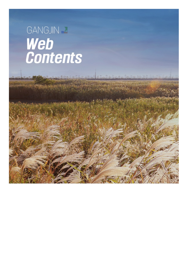## GANGJIN & Web<br>Contents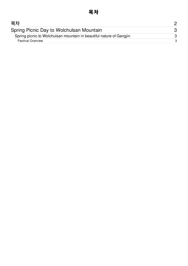<span id="page-1-0"></span>

| 복지                                                                  |  |
|---------------------------------------------------------------------|--|
| Spring Picnic Day to Wolchulsan Mountain                            |  |
| Spring picnic to Wolchulsan mountain in beautiful nature of Gangjin |  |
| <b>Festival Overview</b>                                            |  |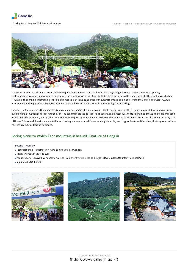

<span id="page-2-0"></span>Spring Picnic Day to Wolchulsan Mountain



'Spring Picnic Day to Wolchulsan Mountain in Gang jin' is held overtwo days. On the first day, beg inning with the opening ceremony, opening performances, invitation performances and various performances and events are held. On the second day is the spring picnic trekking to the Wolchulsan Mountain. The spring picnic trekking consists ofromantic experiencing courses with cultural heritag e commentators to the Gang jin Tea Garden, Anun Villag e, Baekundong Garden Villag e, Lee Han-yeong birthplace, Wolnamsa Temple and Moonlig ht Hanok Villag e.

Gang jin Tea Garden, one ofthe majortrekking courses, is a healing destination where the beautiful scenery oflig ht g reen tea plantation heals you from even looking at it. Strange rocks of Wolchulsan Mountain from the tea garden look beautiful and mysterious. An old saying has it that good tea is produced from a beautiful mountain, and Wolchulsan Mountain Gang jin tea g arden, located atthe southern valley ofWolchulsan Mountain, also known as 'salty lake ofHonam', has conditions fortea plantation such as larg e temperature differences at nig ht and day and fog g y climate and therefore, the tea produced here has less acerbity and strong frag rance.

## <span id="page-2-1"></span>Spring picnic to Wolchulsan mountain in beautiful nature of Gangjin

## <span id="page-2-2"></span>Festival Overview

- Festival : Spring Picnic Day to Wolchulsan Mountain in Gang jin
- Period : April each year(2 days)
- Venue : Seong jeon Wolha and Wolnam areas (Main event venue in the parking lot ofWolchulsan Mountain National Park)
- Inquiries : 061)430-5642



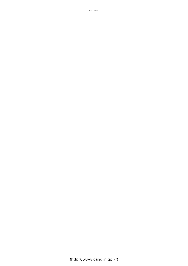(http://www.gangjin.go.kr)